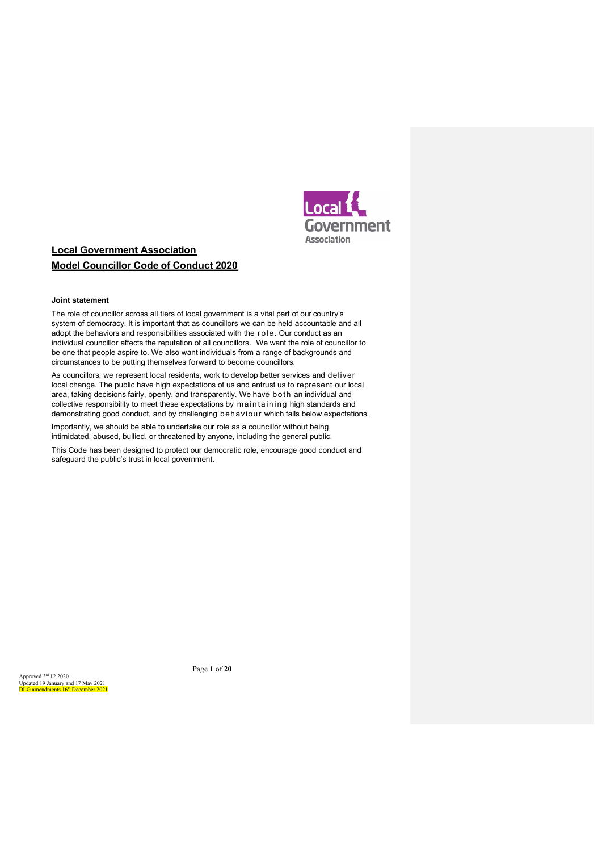

# Local Government Association Model Councillor Code of Conduct 2020

#### Joint statement

The role of councillor across all tiers of local government is a vital part of our country's system of democracy. It is important that as councillors we can be held accountable and all adopt the behaviors and responsibilities associated with the role. Our conduct as an individual councillor affects the reputation of all councillors. We want the role of councillor to be one that people aspire to. We also want individuals from a range of backgrounds and circumstances to be putting themselves forward to become councillors.

As councillors, we represent local residents, work to develop better services and deliver local change. The public have high expectations of us and entrust us to represent our local area, taking decisions fairly, openly, and transparently. We have both an individual and collective responsibility to meet these expectations by maintaining high standards and demonstrating good conduct, and by challenging behaviour which falls below expectations.

Importantly, we should be able to undertake our role as a councillor without being intimidated, abused, bullied, or threatened by anyone, including the general public.

This Code has been designed to protect our democratic role, encourage good conduct and safeguard the public's trust in local government.

Page 1 of 20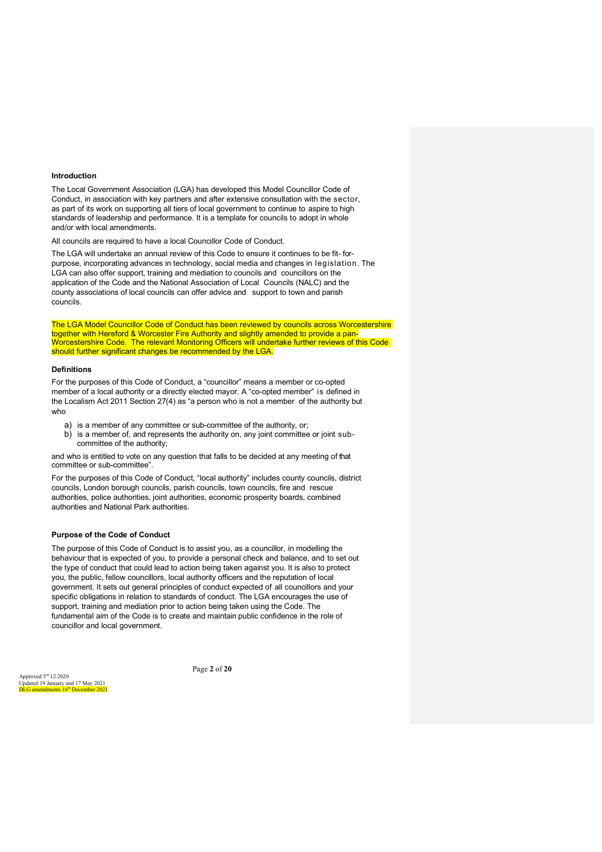#### Introduction

The Local Government Association (LGA) has developed this Model Councillor Code of Conduct, in association with key partners and after extensive consultation with the sector, as part of its work on supporting all tiers of local government to continue to aspire to high standards of leadership and performance. It is a template for councils to adopt in whole and/or with local amendments.

All councils are required to have a local Councillor Code of Conduct.

The LGA will undertake an annual review of this Code to ensure it continues to be fit- forpurpose, incorporating advances in technology, social media and changes in legislation. The LGA can also offer support, training and mediation to councils and councillors on the application of the Code and the National Association of Local Councils (NALC) and the county associations of local councils can offer advice and support to town and parish councils.

The LGA Model Councillor Code of Conduct has been reviewed by councils across Worcestershire together with Hereford & Worcester Fire Authority and slightly amended to provide a pan-Worcestershire Code. The relevant Monitoring Officers will undertake further reviews of this Code should further significant changes be recommended by the LGA.

## Definitions

For the purposes of this Code of Conduct, a "councillor" means a member or co-opted member of a local authority or a directly elected mayor. A "co-opted member" is defined in the Localism Act 2011 Section 27(4) as "a person who is not a member of the authority but who

- a) is a member of any committee or sub-committee of the authority, or;
- b) is a member of, and represents the authority on, any joint committee or joint subcommittee of the authority;

and who is entitled to vote on any question that falls to be decided at any meeting of that committee or sub-committee".

For the purposes of this Code of Conduct, "local authority" includes county councils, district councils, London borough councils, parish councils, town councils, fire and rescue authorities, police authorities, joint authorities, economic prosperity boards, combined authorities and National Park authorities.

## Purpose of the Code of Conduct

The purpose of this Code of Conduct is to assist you, as a councillor, in modelling the behaviour that is expected of you, to provide a personal check and balance, and to set out the type of conduct that could lead to action being taken against you. It is also to protect you, the public, fellow councillors, local authority officers and the reputation of local government. It sets out general principles of conduct expected of all councillors and your specific obligations in relation to standards of conduct. The LGA encourages the use of support, training and mediation prior to action being taken using the Code. The fundamental aim of the Code is to create and maintain public confidence in the role of councillor and local government.

Approved 3rd 12.2020 Updated 19 January and 17 May 2021<br><mark>DLG amendments 16<sup>th</sup> December 2021</mark> Page 2 of 20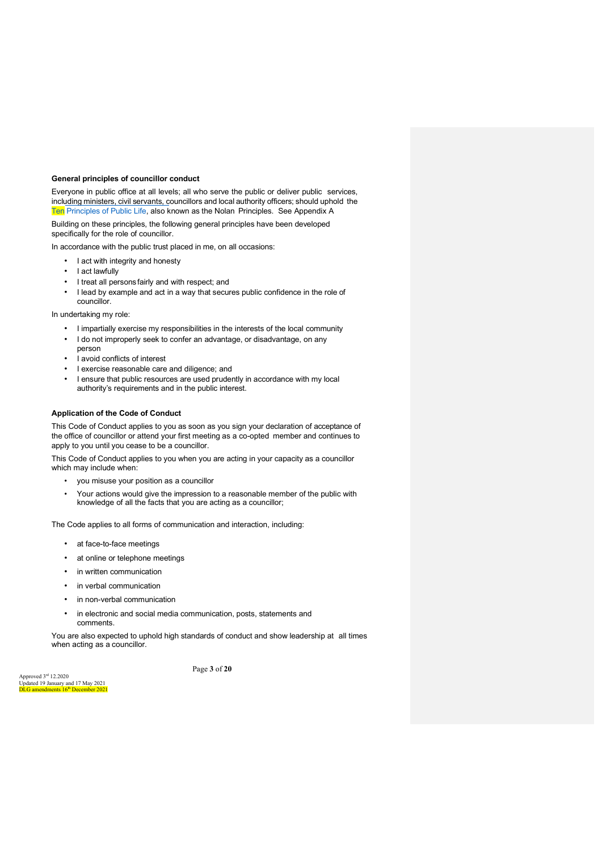#### General principles of councillor conduct

Everyone in public office at all levels; all who serve the public or deliver public services, including ministers, civil servants, councillors and local authority officers; should uphold the Ten Principles of Public Life, also known as the Nolan Principles. See Appendix A

Building on these principles, the following general principles have been developed specifically for the role of councillor.

In accordance with the public trust placed in me, on all occasions:

- I act with integrity and honesty
- I act lawfully
- I treat all persons fairly and with respect; and
- I lead by example and act in a way that secures public confidence in the role of councillor.

In undertaking my role:

- I impartially exercise my responsibilities in the interests of the local community
- I do not improperly seek to confer an advantage, or disadvantage, on any person
- I avoid conflicts of interest
- I exercise reasonable care and diligence; and
- I ensure that public resources are used prudently in accordance with my local authority's requirements and in the public interest.

### Application of the Code of Conduct

This Code of Conduct applies to you as soon as you sign your declaration of acceptance of the office of councillor or attend your first meeting as a co-opted member and continues to apply to you until you cease to be a councillor.

This Code of Conduct applies to you when you are acting in your capacity as a councillor which may include when:

- you misuse your position as a councillor
- Your actions would give the impression to a reasonable member of the public with knowledge of all the facts that you are acting as a councillor;

The Code applies to all forms of communication and interaction, including:

- at face-to-face meetings
- at online or telephone meetings
- in written communication
- in verbal communication
- in non-verbal communication
- in electronic and social media communication, posts, statements and comments.

You are also expected to uphold high standards of conduct and show leadership at all times when acting as a councillor.

Page 3 of 20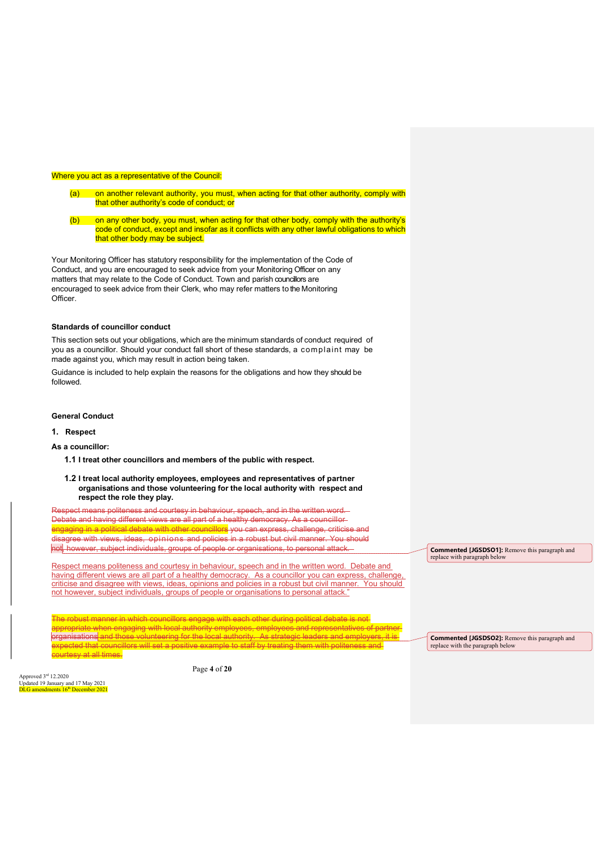#### Where you act as a representative of the Council:

- (a) on another relevant authority, you must, when acting for that other authority, comply with that other authority's code of conduct; or
- (b) on any other body, you must, when acting for that other body, comply with the authority's code of conduct, except and insofar as it conflicts with any other lawful obligations to which that other body may be subject.

Your Monitoring Officer has statutory responsibility for the implementation of the Code of Conduct, and you are encouraged to seek advice from your Monitoring Officer on any matters that may relate to the Code of Conduct. Town and parish councillors are encouraged to seek advice from their Clerk, who may refer matters to the Monitoring **Officer** 

## Standards of councillor conduct

This section sets out your obligations, which are the minimum standards of conduct required of you as a councillor. Should your conduct fall short of these standards, a complaint may be made against you, which may result in action being taken.

Guidance is included to help explain the reasons for the obligations and how they should be followed.

## General Conduct

## 1. Respect

#### As a councillor:

- 1.1 I treat other councillors and members of the public with respect.
- 1.2 I treat local authority employees, employees and representatives of partner organisations and those volunteering for the local authority with respect and respect the role they play.

Respect means politeness and courtesy in behaviour, speech, and in the written word. Debate and having different views are all part of a healthy democracy. As a councillor engaging in a political debate with other councillors you can express, challenge, criticise and disagree with views, ideas, opinions and policies in a robust but civil manner. You should not, however, subject individuals, groups of people or organisations, to personal attack.

Respect means politeness and courtesy in behaviour, speech and in the written word. Debate and having different views are all part of a healthy democracy. As a councillor you can express, challenge criticise and disagree with views, ideas, opinions and policies in a robust but civil manner. You should not however, subject individuals, groups of people or organisations to personal attack."

The robust manner in which councillors engage with each other during political debate is not appropriate when engaging with local authority employees, employees and representatives of partner organisations<mark> and those volunteering for the local authority. As strategic leaders and employers, it is</mark> expected that councillors will set a positive example to staff by treating them with politeness and courtesy at all times.

Commented [JGSDSO1]: Remove this paragraph and replace with paragraph below

Commented [JGSDSO2]: Remove this paragraph and replace with the paragraph below

Approved 3rd 12.2020 Updated 19 January and 17 May 2021<br><mark>DLG amendments 16<sup>th</sup> December 2021</mark> Page 4 of 20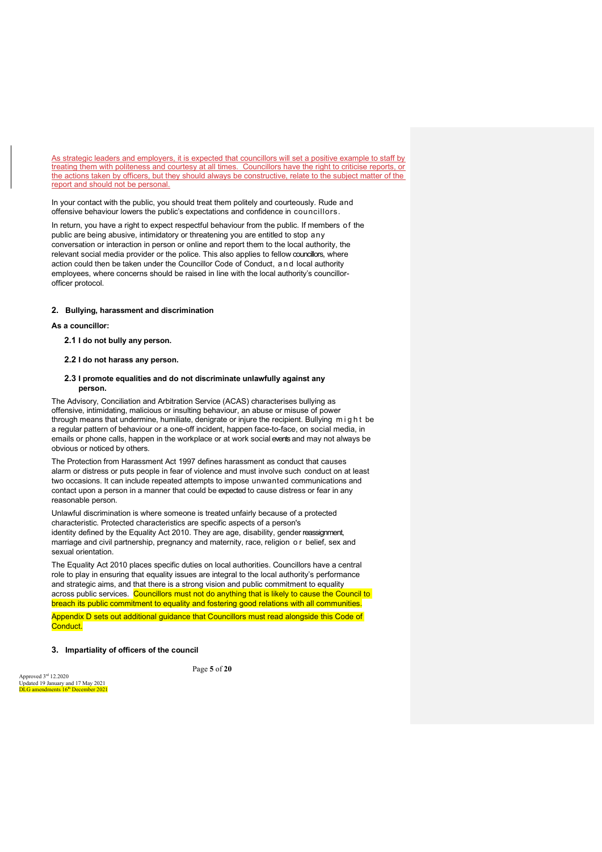As strategic leaders and employers, it is expected that councillors will set a positive example to staff by treating them with politeness and courtesy at all times. Councillors have the right to criticise reports, or the actions taken by officers, but they should always be constructive, relate to the subject matter of the report and should not be personal.

In your contact with the public, you should treat them politely and courteously. Rude and offensive behaviour lowers the public's expectations and confidence in councillors.

In return, you have a right to expect respectful behaviour from the public. If members of the public are being abusive, intimidatory or threatening you are entitled to stop any conversation or interaction in person or online and report them to the local authority, the relevant social media provider or the police. This also applies to fellow councillors, where action could then be taken under the Councillor Code of Conduct, a nd local authority employees, where concerns should be raised in line with the local authority's councillorofficer protocol.

## 2. Bullying, harassment and discrimination

#### As a councillor:

2.1 I do not bully any person.

## 2.2 I do not harass any person.

## 2.3 I promote equalities and do not discriminate unlawfully against any person.

The Advisory, Conciliation and Arbitration Service (ACAS) characterises bullying as offensive, intimidating, malicious or insulting behaviour, an abuse or misuse of power through means that undermine, humiliate, denigrate or injure the recipient. Bullying m i g h t be a regular pattern of behaviour or a one-off incident, happen face-to-face, on social media, in emails or phone calls, happen in the workplace or at work social events and may not always be obvious or noticed by others.

The Protection from Harassment Act 1997 defines harassment as conduct that causes alarm or distress or puts people in fear of violence and must involve such conduct on at least two occasions. It can include repeated attempts to impose unwanted communications and contact upon a person in a manner that could be expected to cause distress or fear in any reasonable person.

Unlawful discrimination is where someone is treated unfairly because of a protected characteristic. Protected characteristics are specific aspects of a person's identity defined by the Equality Act 2010. They are age, disability, gender reassignment, marriage and civil partnership, pregnancy and maternity, race, religion o r belief, sex and sexual orientation.

The Equality Act 2010 places specific duties on local authorities. Councillors have a central role to play in ensuring that equality issues are integral to the local authority's performance and strategic aims, and that there is a strong vision and public commitment to equality across public services. Councillors must not do anything that is likely to cause the Council to breach its public commitment to equality and fostering good relations with all communities. Appendix D sets out additional guidance that Councillors must read alongside this Code of Conduct.

#### 3. Impartiality of officers of the council

Page 5 of 20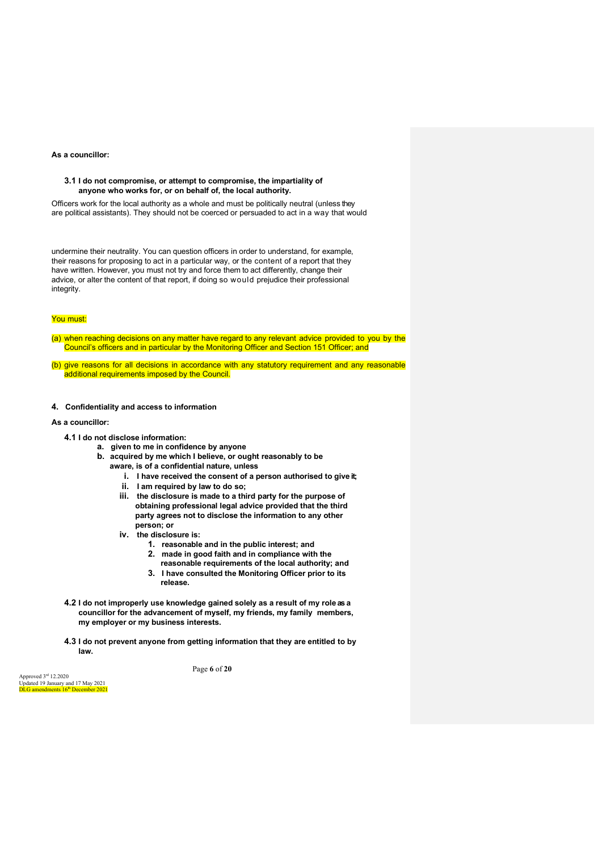## As a councillor:

#### 3.1 I do not compromise, or attempt to compromise, the impartiality of anyone who works for, or on behalf of, the local authority.

Officers work for the local authority as a whole and must be politically neutral (unless they are political assistants). They should not be coerced or persuaded to act in a way that would

undermine their neutrality. You can question officers in order to understand, for example, their reasons for proposing to act in a particular way, or the content of a report that they have written. However, you must not try and force them to act differently, change their advice, or alter the content of that report, if doing so would prejudice their professional integrity.

## You must:

- (a) when reaching decisions on any matter have regard to any relevant advice provided to you by the Council's officers and in particular by the Monitoring Officer and Section 151 Officer; and
- (b) give reasons for all decisions in accordance with any statutory requirement and any reasonable additional requirements imposed by the Council.

## 4. Confidentiality and access to information

#### As a councillor:

- 4.1 I do not disclose information:
	- a. given to me in confidence by anyone
	- b. acquired by me which I believe, or ought reasonably to be
		- aware, is of a confidential nature, unless
			- i. I have received the consent of a person authorised to give it;
			- ii. I am required by law to do so;
			- iii. the disclosure is made to a third party for the purpose of obtaining professional legal advice provided that the third party agrees not to disclose the information to any other person; or
			- iv. the disclosure is:
				- 1. reasonable and in the public interest; and
					- 2. made in good faith and in compliance with the reasonable requirements of the local authority; and
					- 3. I have consulted the Monitoring Officer prior to its release.
- 4.2 I do not improperly use knowledge gained solely as a result of my role as a councillor for the advancement of myself, my friends, my family members, my employer or my business interests.
- 4.3 I do not prevent anyone from getting information that they are entitled to by law.

Page 6 of 20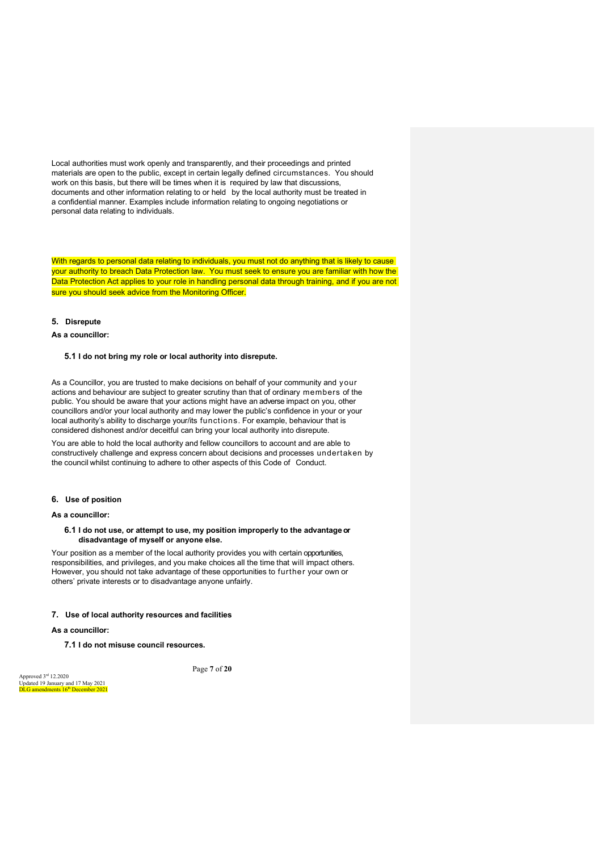Local authorities must work openly and transparently, and their proceedings and printed materials are open to the public, except in certain legally defined circumstances. You should work on this basis, but there will be times when it is required by law that discussions, documents and other information relating to or held by the local authority must be treated in a confidential manner. Examples include information relating to ongoing negotiations or personal data relating to individuals.

With regards to personal data relating to individuals, you must not do anything that is likely to cause your authority to breach Data Protection law. You must seek to ensure you are familiar with how the Data Protection Act applies to your role in handling personal data through training, and if you are not sure you should seek advice from the Monitoring Officer.

## 5. Disrepute

#### As a councillor:

#### 5.1 I do not bring my role or local authority into disrepute.

As a Councillor, you are trusted to make decisions on behalf of your community and your actions and behaviour are subject to greater scrutiny than that of ordinary members of the public. You should be aware that your actions might have an adverse impact on you, other councillors and/or your local authority and may lower the public's confidence in your or your local authority's ability to discharge your/its functions. For example, behaviour that is considered dishonest and/or deceitful can bring your local authority into disrepute.

You are able to hold the local authority and fellow councillors to account and are able to constructively challenge and express concern about decisions and processes undertaken by the council whilst continuing to adhere to other aspects of this Code of Conduct.

#### 6. Use of position

#### As a councillor:

## 6.1 I do not use, or attempt to use, my position improperly to the advantage or disadvantage of myself or anyone else.

Your position as a member of the local authority provides you with certain opportunities, responsibilities, and privileges, and you make choices all the time that will impact others. However, you should not take advantage of these opportunities to further your own or others' private interests or to disadvantage anyone unfairly.

## 7. Use of local authority resources and facilities

As a councillor:

7.1 I do not misuse council resources.

Page 7 of 20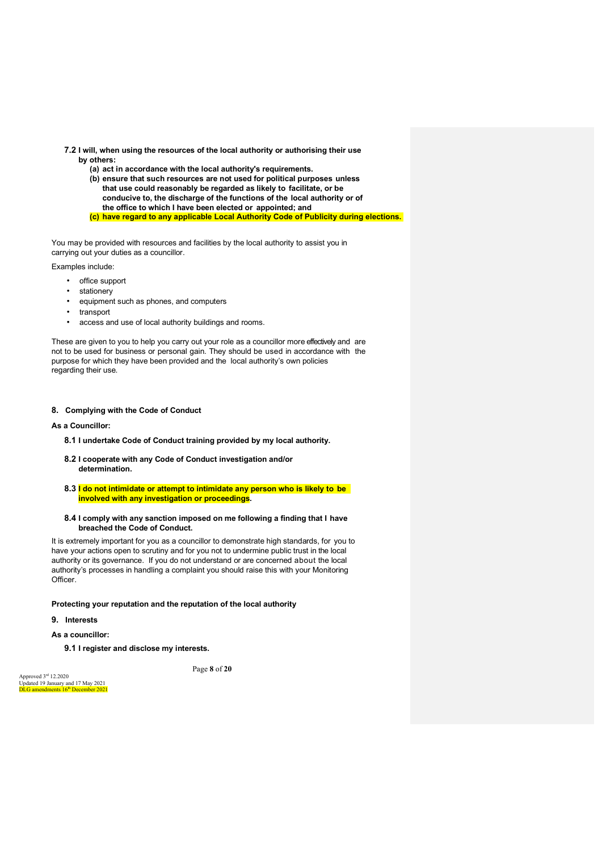- 7.2 I will, when using the resources of the local authority or authorising their use by others:
	- (a) act in accordance with the local authority's requirements.
	- (b) ensure that such resources are not used for political purposes unless that use could reasonably be regarded as likely to facilitate, or be conducive to, the discharge of the functions of the local authority or of the office to which I have been elected or appointed; and (c) have regard to any applicable Local Authority Code of Publicity during elections.

You may be provided with resources and facilities by the local authority to assist you in carrying out your duties as a councillor.

Examples include:

- office support
- stationery
- equipment such as phones, and computers
- transport
- access and use of local authority buildings and rooms.

These are given to you to help you carry out your role as a councillor more effectively and are not to be used for business or personal gain. They should be used in accordance with the purpose for which they have been provided and the local authority's own policies regarding their use.

## 8. Complying with the Code of Conduct

As a Councillor:

- 8.1 I undertake Code of Conduct training provided by my local authority.
- 8.2 I cooperate with any Code of Conduct investigation and/or determination.
- 8.3 I do not intimidate or attempt to intimidate any person who is likely to be involved with any investigation or proceedings.
- 8.4 I comply with any sanction imposed on me following a finding that I have breached the Code of Conduct.

It is extremely important for you as a councillor to demonstrate high standards, for you to have your actions open to scrutiny and for you not to undermine public trust in the local authority or its governance. If you do not understand or are concerned about the local authority's processes in handling a complaint you should raise this with your Monitoring Officer.

Protecting your reputation and the reputation of the local authority

9. Interests

As a councillor:

9.1 I register and disclose my interests.

Page 8 of 20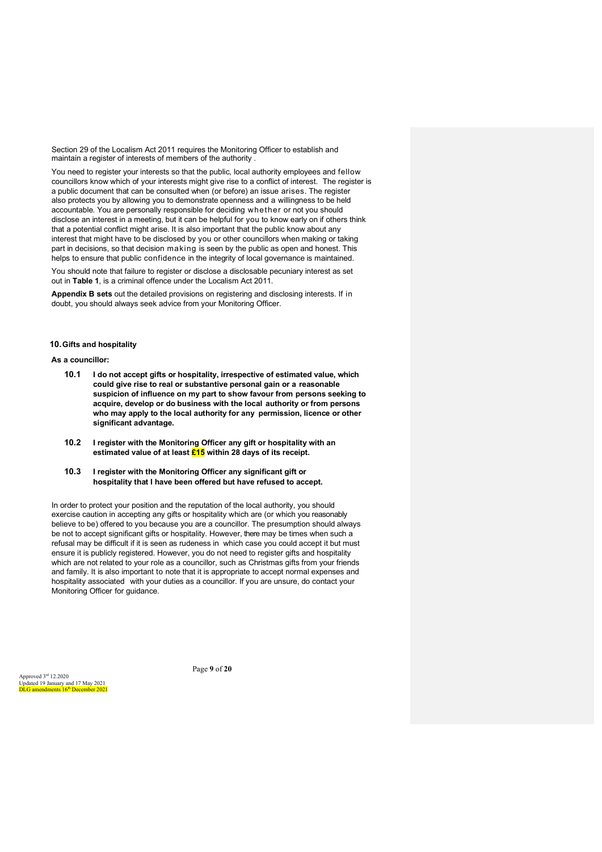Section 29 of the Localism Act 2011 requires the Monitoring Officer to establish and maintain a register of interests of members of the authority .

You need to register your interests so that the public, local authority employees and fellow councillors know which of your interests might give rise to a conflict of interest. The register is a public document that can be consulted when (or before) an issue arises. The register also protects you by allowing you to demonstrate openness and a willingness to be held accountable. You are personally responsible for deciding whether or not you should disclose an interest in a meeting, but it can be helpful for you to know early on if others think that a potential conflict might arise. It is also important that the public know about any interest that might have to be disclosed by you or other councillors when making or taking part in decisions, so that decision making is seen by the public as open and honest. This helps to ensure that public confidence in the integrity of local governance is maintained.

You should note that failure to register or disclose a disclosable pecuniary interest as set out in Table 1, is a criminal offence under the Localism Act 2011.

Appendix B sets out the detailed provisions on registering and disclosing interests. If in doubt, you should always seek advice from your Monitoring Officer.

## 10. Gifts and hospitality

#### As a councillor:

- 10.1 I do not accept gifts or hospitality, irrespective of estimated value, which could give rise to real or substantive personal gain or a reasonable suspicion of influence on my part to show favour from persons seeking to acquire, develop or do business with the local authority or from persons who may apply to the local authority for any permission, licence or other significant advantage.
- 10.2 I register with the Monitoring Officer any gift or hospitality with an estimated value of at least  $£15$  within 28 days of its receipt.
- 10.3 I register with the Monitoring Officer any significant gift or hospitality that I have been offered but have refused to accept.

In order to protect your position and the reputation of the local authority, you should exercise caution in accepting any gifts or hospitality which are (or which you reasonably believe to be) offered to you because you are a councillor. The presumption should always be not to accept significant gifts or hospitality. However, there may be times when such a refusal may be difficult if it is seen as rudeness in which case you could accept it but must ensure it is publicly registered. However, you do not need to register gifts and hospitality which are not related to your role as a councillor, such as Christmas gifts from your friends and family. It is also important to note that it is appropriate to accept normal expenses and hospitality associated with your duties as a councillor. If you are unsure, do contact your Monitoring Officer for guidance.

Approved 3rd 12.2020 Updated 19 January and 17 May 2021<br><mark>DLG amendments 16<sup>th</sup> December 2021</mark> Page 9 of 20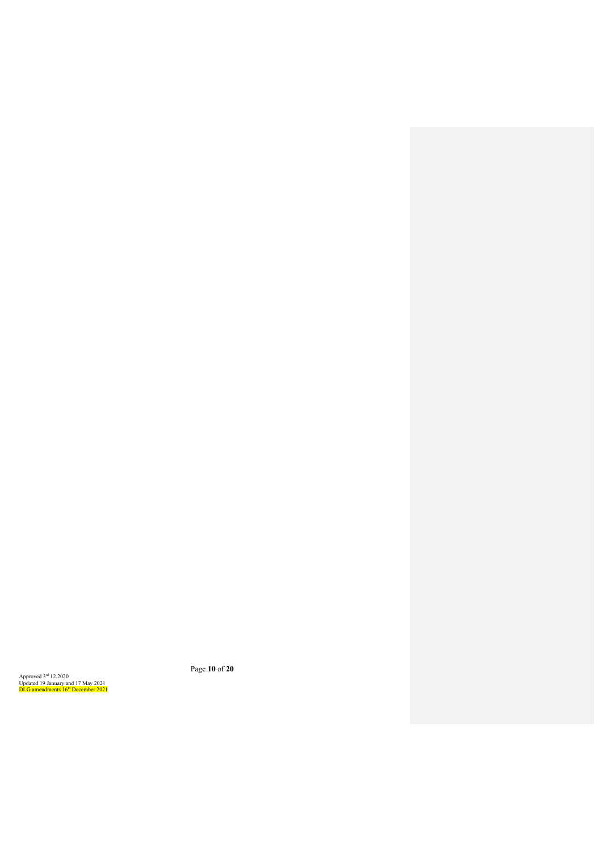Approved 3<sup>rd</sup> 12.2020<br>Updated 19 January and 17 May 2021<br><mark>DLG amendments 16<sup>th</sup> December 2021</mark>

Page 10 of 20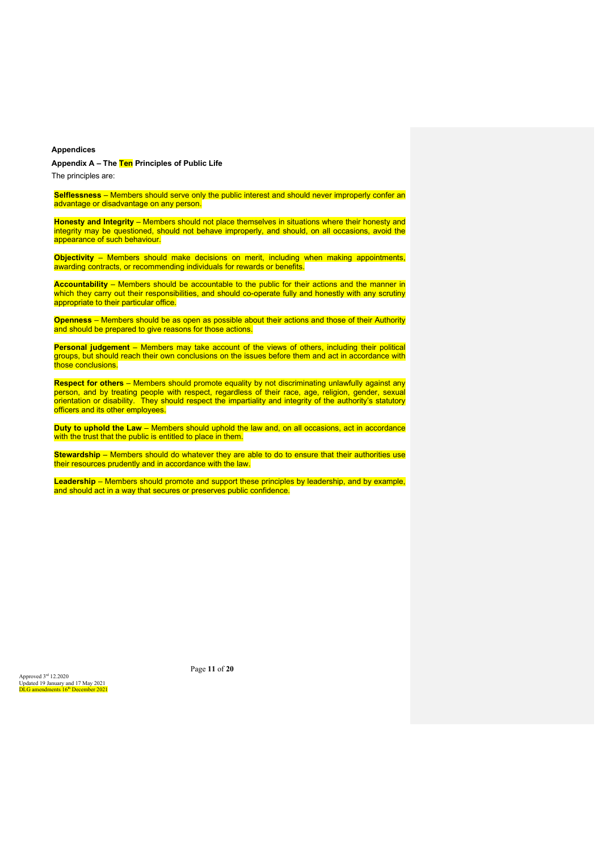#### Appendices

## Appendix A - The Ten Principles of Public Life

The principles are:

Selflessness - Members should serve only the public interest and should never improperly confer an advantage or disadvantage on any person.

Honesty and Integrity – Members should not place themselves in situations where their honesty and integrity may be questioned, should not behave improperly, and should, on all occasions, avoid the appearance of such behaviour.

Objectivity – Members should make decisions on merit, including when making appointments, awarding contracts, or recommending individuals for rewards or benefits.

Accountability – Members should be accountable to the public for their actions and the manner in which they carry out their responsibilities, and should co-operate fully and honestly with any scrutiny appropriate to their particular office.

Openness – Members should be as open as possible about their actions and those of their Authority and should be prepared to give reasons for those actions.

Personal judgement – Members may take account of the views of others, including their political groups, but should reach their own conclusions on the issues before them and act in accordance with those conclusions.

Respect for others – Members should promote equality by not discriminating unlawfully against any person, and by treating people with respect, regardless of their race, age, religion, gender, sexual orientation or disability. They should respect the impartiality and integrity of the authority's statutory officers and its other employees.

Duty to uphold the Law – Members should uphold the law and, on all occasions, act in accordance with the trust that the public is entitled to place in them.

Stewardship – Members should do whatever they are able to do to ensure that their authorities use their resources prudently and in accordance with the law.

Leadership – Members should promote and support these principles by leadership, and by example, and should act in a way that secures or preserves public confidence.

Page 11 of 20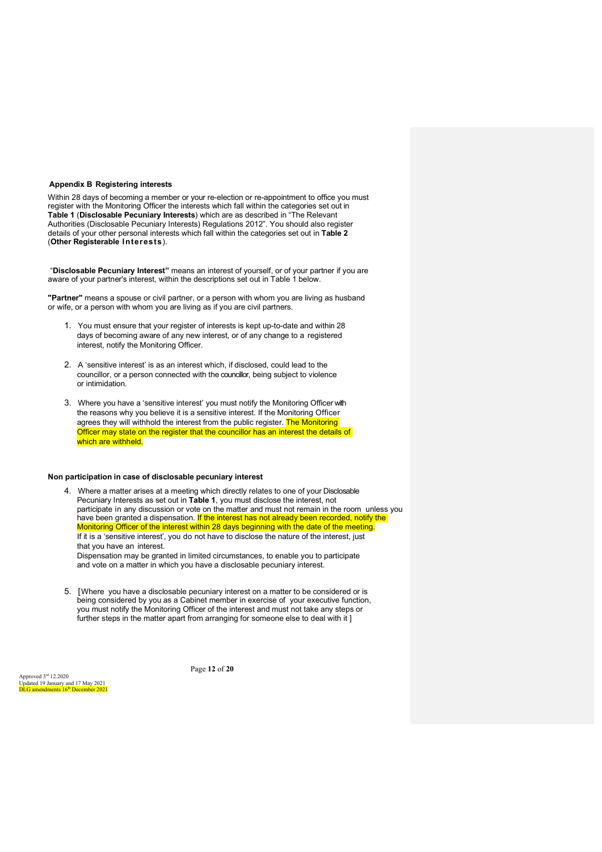#### Appendix B Registering interests

Within 28 days of becoming a member or your re-election or re-appointment to office you must register with the Monitoring Officer the interests which fall within the categories set out in Table 1 (Disclosable Pecuniary Interests) which are as described in "The Relevant Authorities (Disclosable Pecuniary Interests) Regulations 2012". You should also register details of your other personal interests which fall within the categories set out in Table 2 (Other Registerable Interests).

 "Disclosable Pecuniary Interest" means an interest of yourself, or of your partner if you are aware of your partner's interest, within the descriptions set out in Table 1 below.

"Partner" means a spouse or civil partner, or a person with whom you are living as husband or wife, or a person with whom you are living as if you are civil partners.

- 1. You must ensure that your register of interests is kept up-to-date and within 28 days of becoming aware of any new interest, or of any change to a registered interest, notify the Monitoring Officer.
- 2. A 'sensitive interest' is as an interest which, if disclosed, could lead to the councillor, or a person connected with the councillor, being subject to violence or intimidation.
- 3. Where you have a 'sensitive interest' you must notify the Monitoring Officer with the reasons why you believe it is a sensitive interest. If the Monitoring Officer agrees they will withhold the interest from the public register. The Monitoring Officer may state on the register that the councillor has an interest the details of which are withheld.

#### Non participation in case of disclosable pecuniary interest

- 4. Where a matter arises at a meeting which directly relates to one of your Disclosable Pecuniary Interests as set out in Table 1, you must disclose the interest, not participate in any discussion or vote on the matter and must not remain in the room unless you have been granted a dispensation. If the interest has not already been recorded, notify the Monitoring Officer of the interest within 28 days beginning with the date of the meeting. If it is a 'sensitive interest', you do not have to disclose the nature of the interest, just that you have an interest. Dispensation may be granted in limited circumstances, to enable you to participate and vote on a matter in which you have a disclosable pecuniary interest.
- 5. [Where you have a disclosable pecuniary interest on a matter to be considered or is being considered by you as a Cabinet member in exercise of your executive function, you must notify the Monitoring Officer of the interest and must not take any steps or further steps in the matter apart from arranging for someone else to deal with it ]

Approved 3rd 12.2020 Updated 19 January and 17 May 2021<br><mark>DLG amendments 16<sup>th</sup> December 2021</mark> Page 12 of 20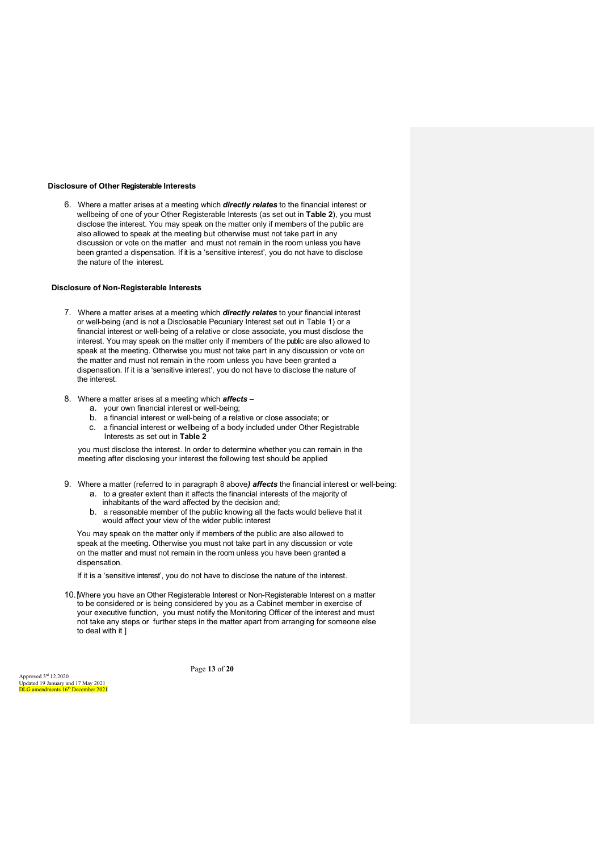#### Disclosure of Other Registerable Interests

6. Where a matter arises at a meeting which **directly relates** to the financial interest or wellbeing of one of your Other Registerable Interests (as set out in Table 2), you must disclose the interest. You may speak on the matter only if members of the public are also allowed to speak at the meeting but otherwise must not take part in any discussion or vote on the matter and must not remain in the room unless you have been granted a dispensation. If it is a 'sensitive interest', you do not have to disclose the nature of the interest.

## Disclosure of Non-Registerable Interests

- 7. Where a matter arises at a meeting which **directly relates** to your financial interest or well-being (and is not a Disclosable Pecuniary Interest set out in Table 1) or a financial interest or well-being of a relative or close associate, you must disclose the interest. You may speak on the matter only if members of the public are also allowed to speak at the meeting. Otherwise you must not take part in any discussion or vote on the matter and must not remain in the room unless you have been granted a dispensation. If it is a 'sensitive interest', you do not have to disclose the nature of the interest.
- 8. Where a matter arises at a meeting which **affects**
	- a. your own financial interest or well-being;
	- b. a financial interest or well-being of a relative or close associate; or
	- c. a financial interest or wellbeing of a body included under Other Registrable Interests as set out in Table 2

you must disclose the interest. In order to determine whether you can remain in the meeting after disclosing your interest the following test should be applied

- 9. Where a matter (referred to in paragraph 8 above) affects the financial interest or well-being: a. to a greater extent than it affects the financial interests of the majority of
	- inhabitants of the ward affected by the decision and;
	- b. a reasonable member of the public knowing all the facts would believe that it would affect your view of the wider public interest

You may speak on the matter only if members of the public are also allowed to speak at the meeting. Otherwise you must not take part in any discussion or vote on the matter and must not remain in the room unless you have been granted a dispensation.

If it is a 'sensitive interest', you do not have to disclose the nature of the interest.

10. [Where you have an Other Registerable Interest or Non-Registerable Interest on a matter to be considered or is being considered by you as a Cabinet member in exercise of your executive function, you must notify the Monitoring Officer of the interest and must not take any steps or further steps in the matter apart from arranging for someone else to deal with it ]

Approved 3rd 12.2020 Updated 19 January and 17 May 2021<br><mark>DLG amendments 16<sup>th</sup> December 2021</mark> Page 13 of 20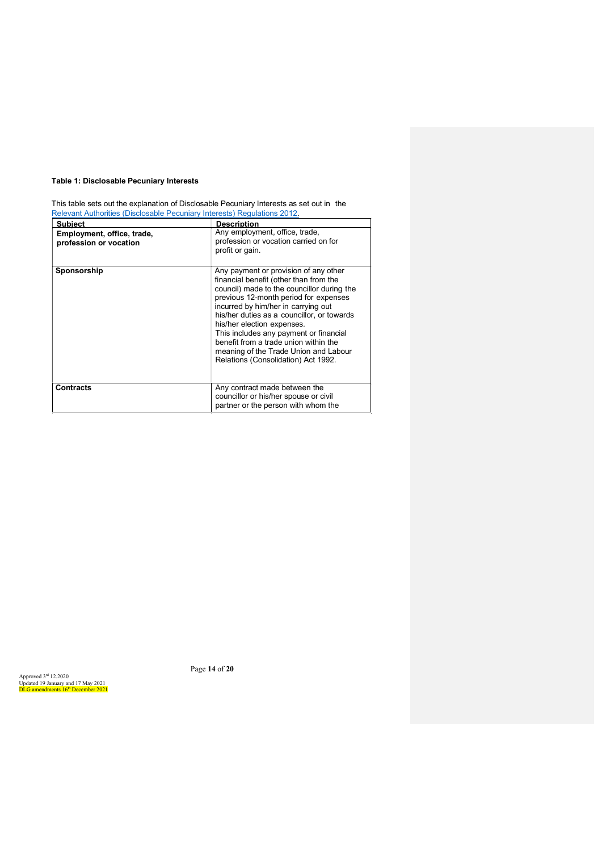## Table 1: Disclosable Pecuniary Interests

This table sets out the explanation of Disclosable Pecuniary Interests as set out in the Relevant Authorities (Disclosable Pecuniary Interests) Regulations 2012.

| <b>Subject</b>                                       | <u>Description</u>                                                                                                                                                                                                                                                                                                                                                                                                                                           |
|------------------------------------------------------|--------------------------------------------------------------------------------------------------------------------------------------------------------------------------------------------------------------------------------------------------------------------------------------------------------------------------------------------------------------------------------------------------------------------------------------------------------------|
| Employment, office, trade,<br>profession or vocation | Any employment, office, trade,<br>profession or vocation carried on for<br>profit or gain.                                                                                                                                                                                                                                                                                                                                                                   |
| Sponsorship                                          | Any payment or provision of any other<br>financial benefit (other than from the<br>council) made to the councillor during the<br>previous 12-month period for expenses<br>incurred by him/her in carrying out<br>his/her duties as a councillor, or towards<br>his/her election expenses.<br>This includes any payment or financial<br>benefit from a trade union within the<br>meaning of the Trade Union and Labour<br>Relations (Consolidation) Act 1992. |
| <b>Contracts</b>                                     | Any contract made between the<br>councillor or his/her spouse or civil<br>partner or the person with whom the                                                                                                                                                                                                                                                                                                                                                |

Approved 3<sup>rd</sup> 12.2020<br>Updated 19 January and 17 May 2021<br><mark>DLG amendments 16<sup>th</sup> December 2021</mark>

Page 14 of 20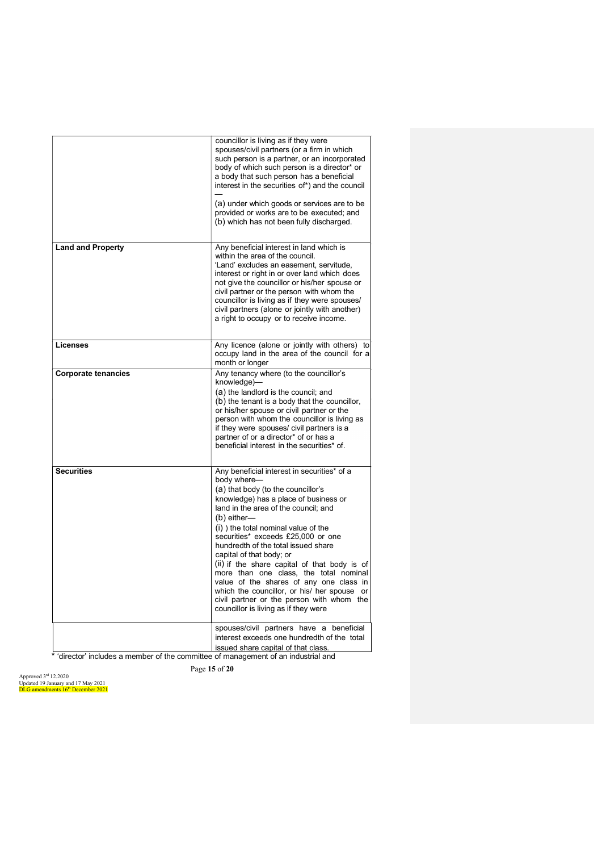|                            | councillor is living as if they were<br>spouses/civil partners (or a firm in which<br>such person is a partner, or an incorporated<br>body of which such person is a director* or<br>a body that such person has a beneficial<br>interest in the securities of*) and the council<br>(a) under which goods or services are to be<br>provided or works are to be executed; and<br>(b) which has not been fully discharged.                                                                                                                                                                                                     |
|----------------------------|------------------------------------------------------------------------------------------------------------------------------------------------------------------------------------------------------------------------------------------------------------------------------------------------------------------------------------------------------------------------------------------------------------------------------------------------------------------------------------------------------------------------------------------------------------------------------------------------------------------------------|
| <b>Land and Property</b>   | Any beneficial interest in land which is<br>within the area of the council.<br>'Land' excludes an easement, servitude,<br>interest or right in or over land which does<br>not give the councillor or his/her spouse or<br>civil partner or the person with whom the<br>councillor is living as if they were spouses/<br>civil partners (alone or jointly with another)<br>a right to occupy or to receive income.                                                                                                                                                                                                            |
| Licenses                   | Any licence (alone or jointly with others) to<br>occupy land in the area of the council for a<br>month or longer                                                                                                                                                                                                                                                                                                                                                                                                                                                                                                             |
| <b>Corporate tenancies</b> | Any tenancy where (to the councillor's<br>knowledge)-<br>(a) the landlord is the council; and<br>(b) the tenant is a body that the councillor,<br>or his/her spouse or civil partner or the<br>person with whom the councillor is living as<br>if they were spouses/ civil partners is a<br>partner of or a director* of or has a<br>beneficial interest in the securities* of.                                                                                                                                                                                                                                              |
| <b>Securities</b>          | Any beneficial interest in securities* of a<br>body where-<br>(a) that body (to the councillor's<br>knowledge) has a place of business or<br>land in the area of the council; and<br>$(b)$ either—<br>(i) ) the total nominal value of the<br>securities* exceeds £25,000 or one<br>hundredth of the total issued share<br>capital of that body; or<br>(ii) if the share capital of that body is of<br>more than one class, the total nominal<br>value of the shares of any one class in<br>which the councillor, or his/ her spouse or<br>civil partner or the person with whom the<br>councillor is living as if they were |
|                            | spouses/civil partners have a beneficial<br>interest exceeds one hundredth of the total<br>issued share capital of that class.                                                                                                                                                                                                                                                                                                                                                                                                                                                                                               |

\* 'director' includes a member of the committee of management of an industrial and<br>  $\frac{1}{2}$ <br>  $\frac{1}{2}$ <br>  $\frac{1}{2}$ <br>  $\frac{1}{2}$ <br>  $\frac{1}{2}$ <br>  $\frac{1}{2}$ <br>  $\frac{1}{2}$ <br>  $\frac{1}{2}$ <br>  $\frac{1}{2}$ <br>  $\frac{1}{2}$ <br>  $\frac{1}{2}$ <br>  $\frac{1}{2}$ <br>  $\frac{1$ 

Page 15 of 20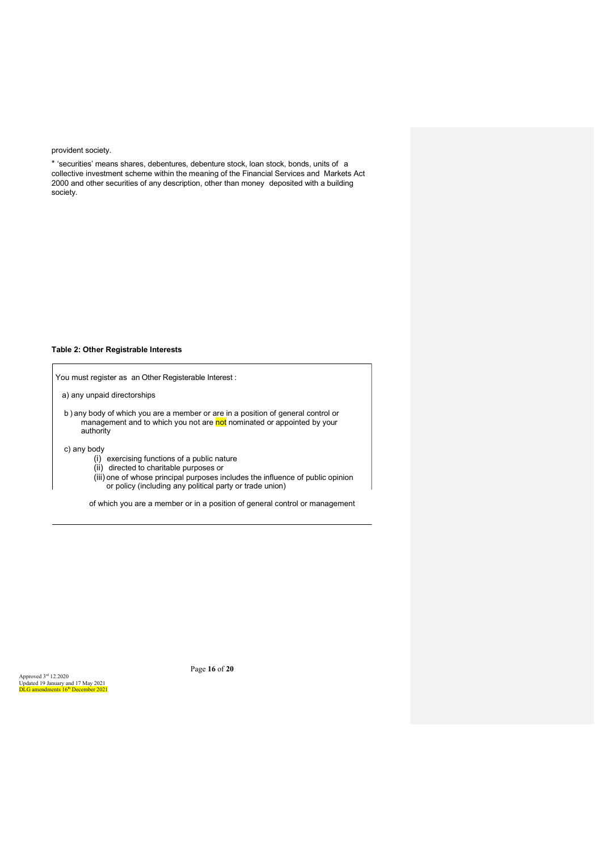provident society.

\* 'securities' means shares, debentures, debenture stock, loan stock, bonds, units of a collective investment scheme within the meaning of the Financial Services and Markets Act 2000 and other securities of any description, other than money deposited with a building society.

## Table 2: Other Registrable Interests

You must register as an Other Registerable Interest :

a) any unpaid directorships

b ) any body of which you are a member or are in a position of general control or management and to which you not are not nominated or appointed by your authority

c) any body

- (i) exercising functions of a public nature
- (ii) directed to charitable purposes or

(iii) one of whose principal purposes includes the influence of public opinion or policy (including any political party or trade union)

of which you are a member or in a position of general control or management

Page 16 of 20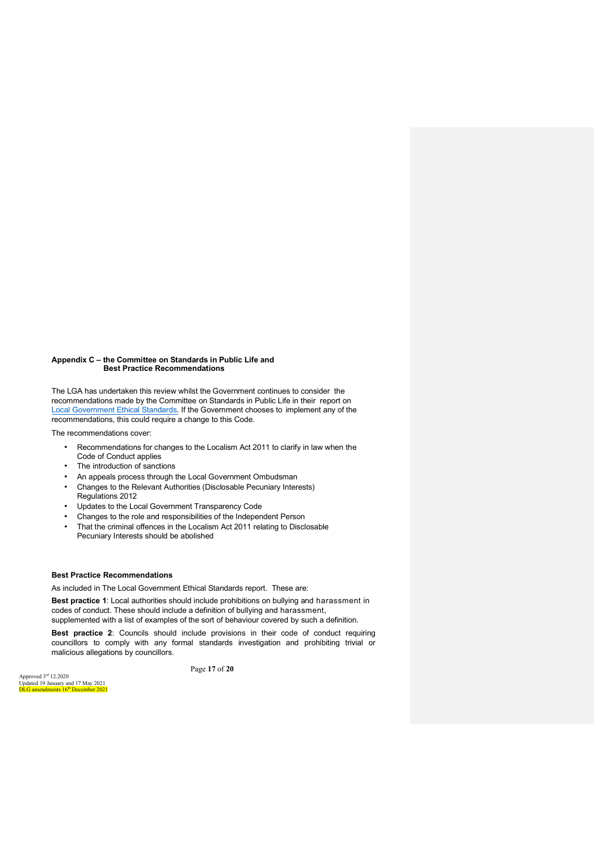#### Appendix C – the Committee on Standards in Public Life and Best Practice Recommendations

The LGA has undertaken this review whilst the Government continues to consider the recommendations made by the Committee on Standards in Public Life in their report on Local Government Ethical Standards. If the Government chooses to implement any of the recommendations, this could require a change to this Code.

The recommendations cover:

- Recommendations for changes to the Localism Act 2011 to clarify in law when the Code of Conduct applies
- The introduction of sanctions
- An appeals process through the Local Government Ombudsman
- Changes to the Relevant Authorities (Disclosable Pecuniary Interests) Regulations 2012
- Updates to the Local Government Transparency Code
- Changes to the role and responsibilities of the Independent Person
- That the criminal offences in the Localism Act 2011 relating to Disclosable Pecuniary Interests should be abolished

#### Best Practice Recommendations

As included in The Local Government Ethical Standards report. These are:

Best practice 1: Local authorities should include prohibitions on bullying and harassment in codes of conduct. These should include a definition of bullying and harassment, supplemented with a list of examples of the sort of behaviour covered by such a definition.

Best practice 2: Councils should include provisions in their code of conduct requiring councillors to comply with any formal standards investigation and prohibiting trivial or malicious allegations by councillors.

Page 17 of 20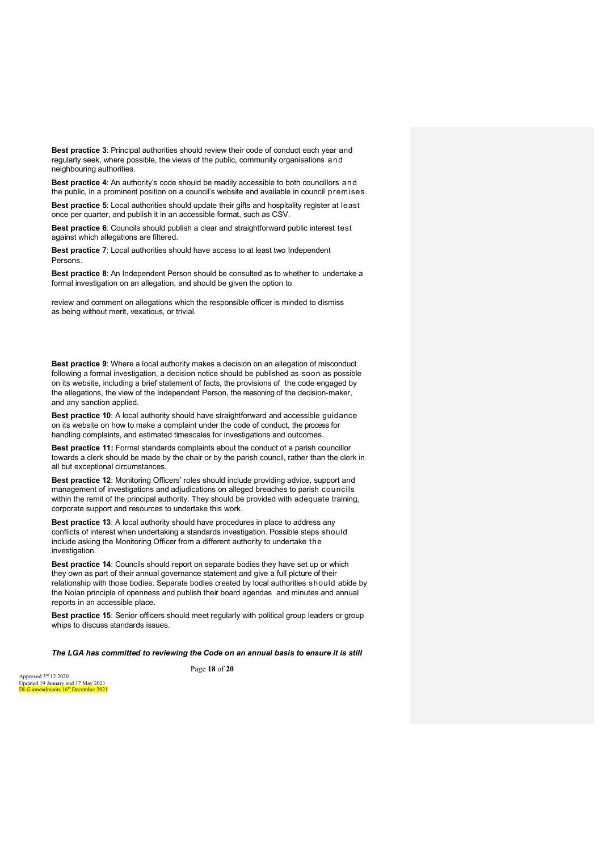Best practice 3: Principal authorities should review their code of conduct each year and regularly seek, where possible, the views of the public, community organisations and neighbouring authorities.

Best practice 4: An authority's code should be readily accessible to both councillors and the public, in a prominent position on a council's website and available in council premises.

Best practice 5: Local authorities should update their gifts and hospitality register at least once per quarter, and publish it in an accessible format, such as CSV.

Best practice 6: Councils should publish a clear and straightforward public interest test against which allegations are filtered.

Best practice 7: Local authorities should have access to at least two Independent Persons.

Best practice 8: An Independent Person should be consulted as to whether to undertake a formal investigation on an allegation, and should be given the option to

 review and comment on allegations which the responsible officer is minded to dismiss as being without merit, vexatious, or trivial.

Best practice 9: Where a local authority makes a decision on an allegation of misconduct following a formal investigation, a decision notice should be published as soon as possible on its website, including a brief statement of facts, the provisions of the code engaged by the allegations, the view of the Independent Person, the reasoning of the decision-maker, and any sanction applied.

Best practice 10: A local authority should have straightforward and accessible guidance on its website on how to make a complaint under the code of conduct, the process for handling complaints, and estimated timescales for investigations and outcomes.

Best practice 11: Formal standards complaints about the conduct of a parish councillor towards a clerk should be made by the chair or by the parish council, rather than the clerk in all but exceptional circumstances.

Best practice 12: Monitoring Officers' roles should include providing advice, support and management of investigations and adjudications on alleged breaches to parish councils within the remit of the principal authority. They should be provided with adequate training, corporate support and resources to undertake this work.

Best practice 13: A local authority should have procedures in place to address any conflicts of interest when undertaking a standards investigation. Possible steps should include asking the Monitoring Officer from a different authority to undertake the investigation.

Best practice 14: Councils should report on separate bodies they have set up or which they own as part of their annual governance statement and give a full picture of their relationship with those bodies. Separate bodies created by local authorities should abide by the Nolan principle of openness and publish their board agendas and minutes and annual reports in an accessible place.

Best practice 15: Senior officers should meet regularly with political group leaders or group whips to discuss standards issues.

The LGA has committed to reviewing the Code on an annual basis to ensure it is still

Page 18 of 20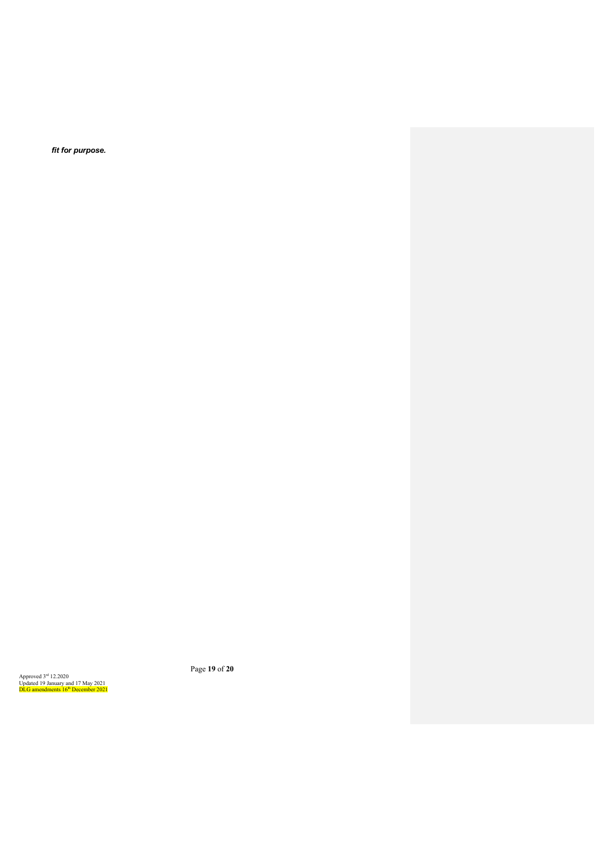fit for purpose.

Approved 3<sup>rd</sup> 12.2020<br>Updated 19 January and 17 May 2021<br><mark>DLG amendments 16<sup>th</sup> December 2021</mark>

Page 19 of 20